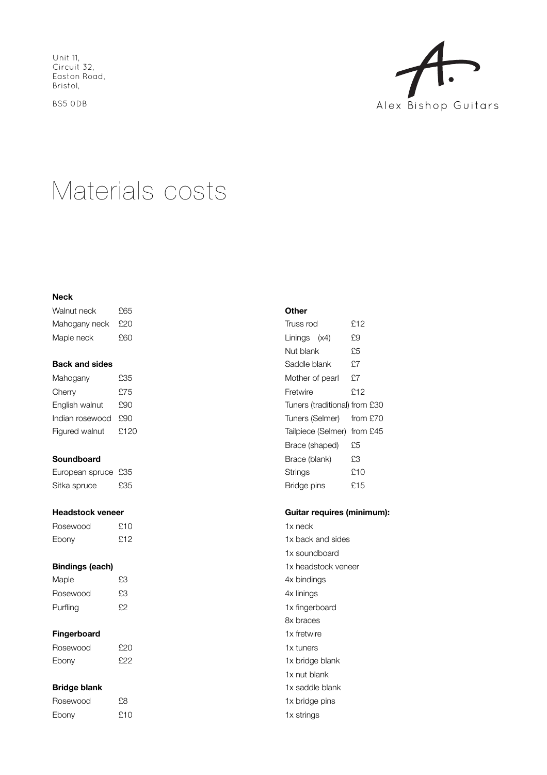Unit 11, Circuit 32, Easton Road, Bristol,

BS5 0DB



# Materials costs

#### **Neck**

| Walnut neck   | £65 |
|---------------|-----|
| Mahogany neck | £20 |
| Maple neck    | £60 |

#### **Back and sides**

| Mahogany        | £35  |
|-----------------|------|
| Cherry          | £75  |
| English walnut  | £90  |
| Indian rosewood | 490  |
| Figured walnut  | F120 |

# **Soundboard**

| European spruce £35 |     |
|---------------------|-----|
| Sitka spruce        | £35 |

#### **Headstock veneer**

| Rosewood | £10  |
|----------|------|
| Ebony    | £.12 |

#### **Bindings (each)**

| Maple    | £З |
|----------|----|
| Rosewood | £З |
| Purfling | £9 |

## **Fingerboard**

| Rosewood | £20 |
|----------|-----|
| Ebony    | £22 |

## **Bridge blank**

| Rosewood | £8  |
|----------|-----|
| Ebony    | £10 |

#### **Other**

| Truss rod                     | £12 |
|-------------------------------|-----|
| Linings (x4)                  | £9  |
| Nut blank                     | £5  |
| Saddle blank                  | £7  |
| Mother of pearl               | £7  |
| Fretwire                      | £12 |
| Tuners (traditional) from £30 |     |
| Tuners (Selmer) from £70      |     |
| Tailpiece (Selmer) from £45   |     |
| Brace (shaped)                | £5  |
| Brace (blank)                 | £З  |
| Strings                       | £10 |
| Bridge pins                   | £15 |

# **Guitar requires (minimum):**

| 1x neck             |
|---------------------|
| 1x back and sides   |
| 1x soundboard       |
| 1x headstock veneer |
| 4x bindings         |
| 4x linings          |
| 1x fingerboard      |
| 8x braces           |
| 1x fretwire         |
| 1x tuners           |
| 1x bridge blank     |
| 1x nut blank        |
| 1x saddle blank     |
| 1x bridge pins      |
| 1x strings          |